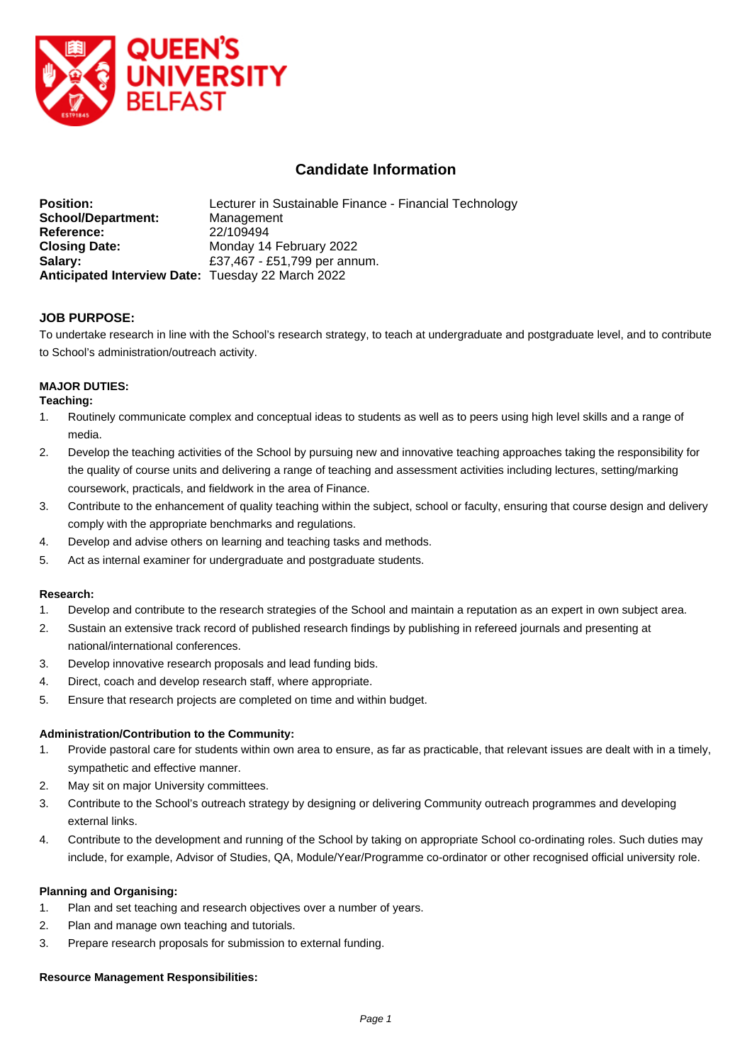

# **Candidate Information**

| <b>Position:</b>                                  | Lecturer in Sustainable Finance - Financial Technology |
|---------------------------------------------------|--------------------------------------------------------|
| <b>School/Department:</b>                         | Management                                             |
| Reference:                                        | 22/109494                                              |
| <b>Closing Date:</b>                              | Monday 14 February 2022                                |
| Salary:                                           | £37,467 - £51,799 per annum.                           |
| Anticipated Interview Date: Tuesday 22 March 2022 |                                                        |

## **JOB PURPOSE:**

To undertake research in line with the School's research strategy, to teach at undergraduate and postgraduate level, and to contribute to School's administration/outreach activity.

## **MAJOR DUTIES:**

#### **Teaching:**

- 1. Routinely communicate complex and conceptual ideas to students as well as to peers using high level skills and a range of media.
- 2. Develop the teaching activities of the School by pursuing new and innovative teaching approaches taking the responsibility for the quality of course units and delivering a range of teaching and assessment activities including lectures, setting/marking coursework, practicals, and fieldwork in the area of Finance.
- 3. Contribute to the enhancement of quality teaching within the subject, school or faculty, ensuring that course design and delivery comply with the appropriate benchmarks and regulations.
- 4. Develop and advise others on learning and teaching tasks and methods.
- 5. Act as internal examiner for undergraduate and postgraduate students.

#### **Research:**

- 1. Develop and contribute to the research strategies of the School and maintain a reputation as an expert in own subject area.
- 2. Sustain an extensive track record of published research findings by publishing in refereed journals and presenting at national/international conferences.
- 3. Develop innovative research proposals and lead funding bids.
- 4. Direct, coach and develop research staff, where appropriate.
- 5. Ensure that research projects are completed on time and within budget.

#### **Administration/Contribution to the Community:**

- 1. Provide pastoral care for students within own area to ensure, as far as practicable, that relevant issues are dealt with in a timely, sympathetic and effective manner.
- 2. May sit on major University committees.
- 3. Contribute to the School's outreach strategy by designing or delivering Community outreach programmes and developing external links.
- 4. Contribute to the development and running of the School by taking on appropriate School co-ordinating roles. Such duties may include, for example, Advisor of Studies, QA, Module/Year/Programme co-ordinator or other recognised official university role.

#### **Planning and Organising:**

- 1. Plan and set teaching and research objectives over a number of years.
- 2. Plan and manage own teaching and tutorials.
- 3. Prepare research proposals for submission to external funding.

#### **Resource Management Responsibilities:**